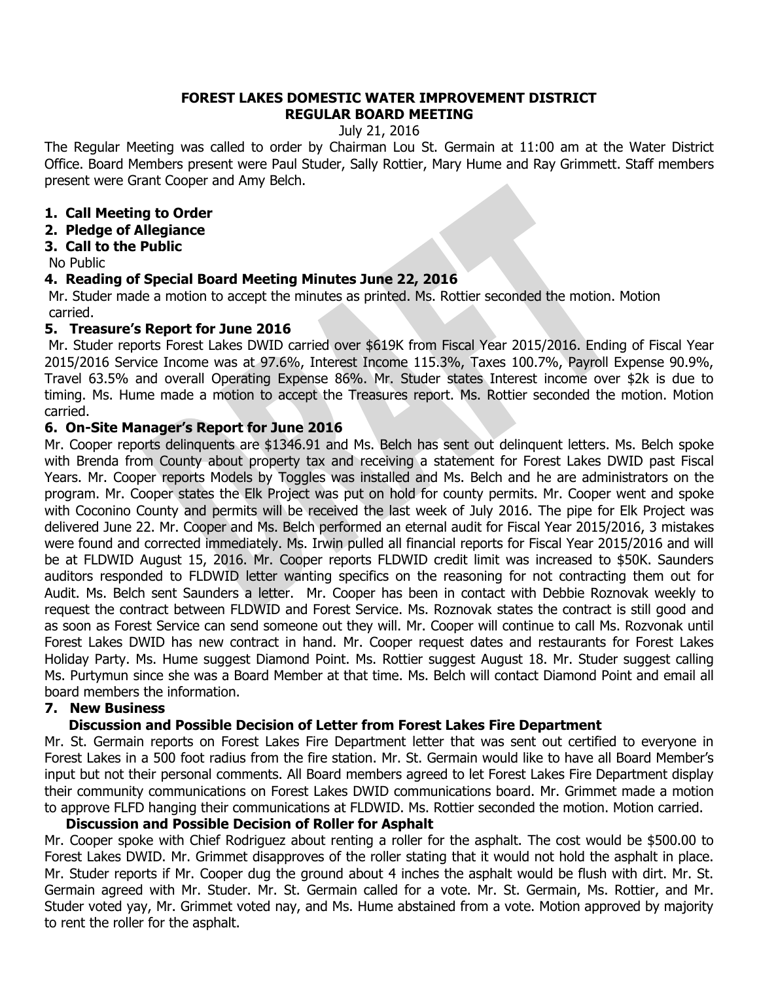### **FOREST LAKES DOMESTIC WATER IMPROVEMENT DISTRICT REGULAR BOARD MEETING**

July 21, 2016

The Regular Meeting was called to order by Chairman Lou St. Germain at 11:00 am at the Water District Office. Board Members present were Paul Studer, Sally Rottier, Mary Hume and Ray Grimmett. Staff members present were Grant Cooper and Amy Belch.

# **1. Call Meeting to Order**

**2. Pledge of Allegiance**

## **3. Call to the Public**

No Public

## **4. Reading of Special Board Meeting Minutes June 22, 2016**

Mr. Studer made a motion to accept the minutes as printed. Ms. Rottier seconded the motion. Motion carried.

#### **5. Treasure's Report for June 2016**

Mr. Studer reports Forest Lakes DWID carried over \$619K from Fiscal Year 2015/2016. Ending of Fiscal Year 2015/2016 Service Income was at 97.6%, Interest Income 115.3%, Taxes 100.7%, Payroll Expense 90.9%, Travel 63.5% and overall Operating Expense 86%. Mr. Studer states Interest income over \$2k is due to timing. Ms. Hume made a motion to accept the Treasures report. Ms. Rottier seconded the motion. Motion carried.

#### **6. On-Site Manager's Report for June 2016**

Mr. Cooper reports delinquents are \$1346.91 and Ms. Belch has sent out delinquent letters. Ms. Belch spoke with Brenda from County about property tax and receiving a statement for Forest Lakes DWID past Fiscal Years. Mr. Cooper reports Models by Toggles was installed and Ms. Belch and he are administrators on the program. Mr. Cooper states the Elk Project was put on hold for county permits. Mr. Cooper went and spoke with Coconino County and permits will be received the last week of July 2016. The pipe for Elk Project was delivered June 22. Mr. Cooper and Ms. Belch performed an eternal audit for Fiscal Year 2015/2016, 3 mistakes were found and corrected immediately. Ms. Irwin pulled all financial reports for Fiscal Year 2015/2016 and will be at FLDWID August 15, 2016. Mr. Cooper reports FLDWID credit limit was increased to \$50K. Saunders auditors responded to FLDWID letter wanting specifics on the reasoning for not contracting them out for Audit. Ms. Belch sent Saunders a letter. Mr. Cooper has been in contact with Debbie Roznovak weekly to request the contract between FLDWID and Forest Service. Ms. Roznovak states the contract is still good and as soon as Forest Service can send someone out they will. Mr. Cooper will continue to call Ms. Rozvonak until Forest Lakes DWID has new contract in hand. Mr. Cooper request dates and restaurants for Forest Lakes Holiday Party. Ms. Hume suggest Diamond Point. Ms. Rottier suggest August 18. Mr. Studer suggest calling Ms. Purtymun since she was a Board Member at that time. Ms. Belch will contact Diamond Point and email all board members the information.

# **7. New Business**

# **Discussion and Possible Decision of Letter from Forest Lakes Fire Department**

Mr. St. Germain reports on Forest Lakes Fire Department letter that was sent out certified to everyone in Forest Lakes in a 500 foot radius from the fire station. Mr. St. Germain would like to have all Board Member's input but not their personal comments. All Board members agreed to let Forest Lakes Fire Department display their community communications on Forest Lakes DWID communications board. Mr. Grimmet made a motion to approve FLFD hanging their communications at FLDWID. Ms. Rottier seconded the motion. Motion carried.

### **Discussion and Possible Decision of Roller for Asphalt**

Mr. Cooper spoke with Chief Rodriguez about renting a roller for the asphalt. The cost would be \$500.00 to Forest Lakes DWID. Mr. Grimmet disapproves of the roller stating that it would not hold the asphalt in place. Mr. Studer reports if Mr. Cooper dug the ground about 4 inches the asphalt would be flush with dirt. Mr. St. Germain agreed with Mr. Studer. Mr. St. Germain called for a vote. Mr. St. Germain, Ms. Rottier, and Mr. Studer voted yay, Mr. Grimmet voted nay, and Ms. Hume abstained from a vote. Motion approved by majority to rent the roller for the asphalt.